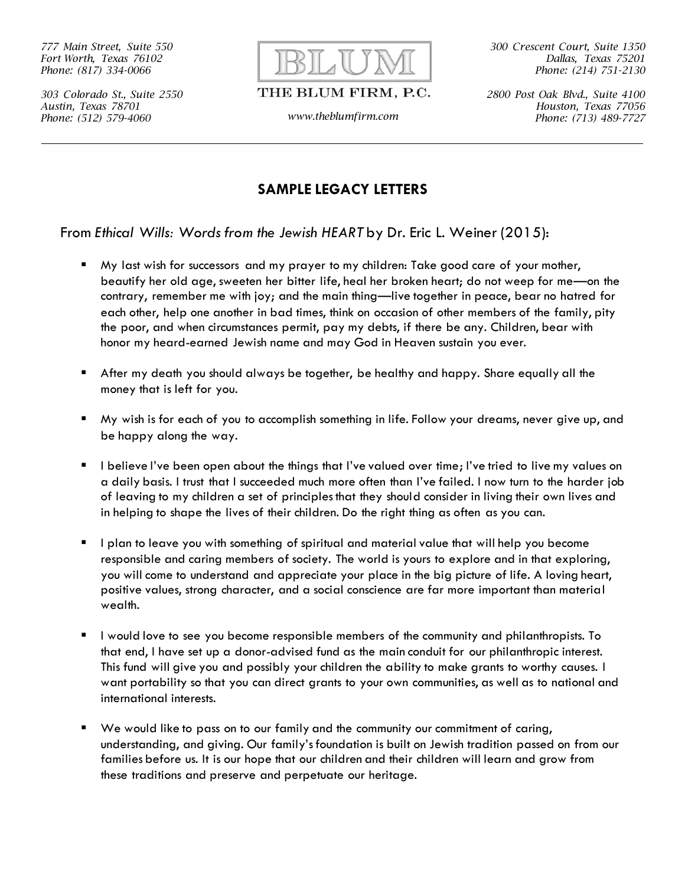*777 Main Street, Suite 550 Fort Worth, Texas 76102 Phone: (817) 334-0066*

*303 Colorado St., Suite 2550 Austin, Texas 78701 Phone: (512) 579-4060 www.theblumfirm.com*



## THE BLUM FIRM, P.C.

*300 Crescent Court, Suite 1350 Dallas, Texas 75201 Phone: (214) 751-2130*

*2800 Post Oak Blvd., Suite 4100 Houston, Texas 77056 Phone: (713) 489-7727*

## **SAMPLE LEGACY LETTERS**

From *Ethical Wills: Words from the Jewish HEART* by Dr. Eric L. Weiner (2015):

- My last wish for successors and my prayer to my children: Take good care of your mother, beautify her old age, sweeten her bitter life, heal her broken heart; do not weep for me—on the contrary, remember me with joy; and the main thing—live together in peace, bear no hatred for each other, help one another in bad times, think on occasion of other members of the family, pity the poor, and when circumstances permit, pay my debts, if there be any. Children, bear with honor my heard-earned Jewish name and may God in Heaven sustain you ever.
- After my death you should always be together, be healthy and happy. Share equally all the money that is left for you.
- My wish is for each of you to accomplish something in life. Follow your dreams, never give up, and be happy along the way.
- I believe I've been open about the things that I've valued over time; I've tried to live my values on a daily basis. I trust that I succeeded much more often than I've failed. I now turn to the harder job of leaving to my children a set of principles that they should consider in living their own lives and in helping to shape the lives of their children. Do the right thing as often as you can.
- I plan to leave you with something of spiritual and material value that will help you become responsible and caring members of society. The world is yours to explore and in that exploring, you will come to understand and appreciate your place in the big picture of life. A loving heart, positive values, strong character, and a social conscience are far more important than material wealth.
- I would love to see you become responsible members of the community and philanthropists. To that end, I have set up a donor-advised fund as the main conduit for our philanthropic interest. This fund will give you and possibly your children the ability to make grants to worthy causes. I want portability so that you can direct grants to your own communities, as well as to national and international interests.
- We would like to pass on to our family and the community our commitment of caring, understanding, and giving. Our family's foundation is built on Jewish tradition passed on from our families before us. It is our hope that our children and their children will learn and grow from these traditions and preserve and perpetuate our heritage.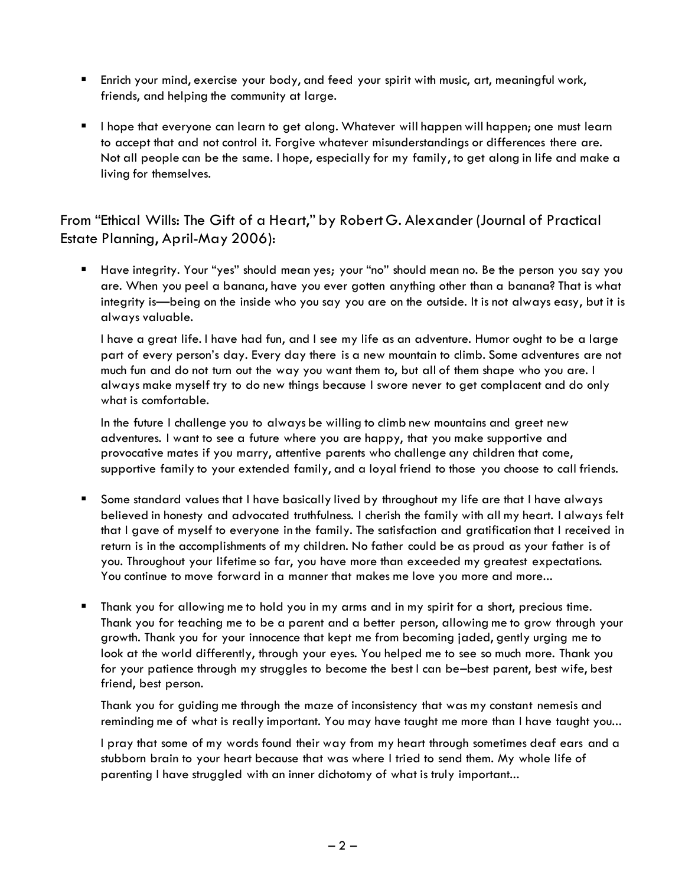- **E** Enrich your mind, exercise your body, and feed your spirit with music, art, meaningful work, friends, and helping the community at large.
- I hope that everyone can learn to get along. Whatever will happen will happen; one must learn to accept that and not control it. Forgive whatever misunderstandings or differences there are. Not all people can be the same. I hope, especially for my family, to get along in life and make a living for themselves.

## From "Ethical Wills: The Gift of a Heart," by Robert G. Alexander (Journal of Practical Estate Planning, April-May 2006):

▪ Have integrity. Your "yes" should mean yes; your "no" should mean no. Be the person you say you are. When you peel a banana, have you ever gotten anything other than a banana? That is what integrity is—being on the inside who you say you are on the outside. It is not always easy, but it is always valuable.

I have a great life. I have had fun, and I see my life as an adventure. Humor ought to be a large part of every person's day. Every day there is a new mountain to climb. Some adventures are not much fun and do not turn out the way you want them to, but all of them shape who you are. I always make myself try to do new things because I swore never to get complacent and do only what is comfortable.

In the future I challenge you to always be willing to climb new mountains and greet new adventures. I want to see a future where you are happy, that you make supportive and provocative mates if you marry, attentive parents who challenge any children that come, supportive family to your extended family, and a loyal friend to those you choose to call friends.

- Some standard values that I have basically lived by throughout my life are that I have always believed in honesty and advocated truthfulness. I cherish the family with all my heart. I always felt that I gave of myself to everyone in the family. The satisfaction and gratification that I received in return is in the accomplishments of my children. No father could be as proud as your father is of you. Throughout your lifetime so far, you have more than exceeded my greatest expectations. You continue to move forward in a manner that makes me love you more and more...
- Thank you for allowing me to hold you in my arms and in my spirit for a short, precious time. Thank you for teaching me to be a parent and a better person, allowing me to grow through your growth. Thank you for your innocence that kept me from becoming jaded, gently urging me to look at the world differently, through your eyes. You helped me to see so much more. Thank you for your patience through my struggles to become the best I can be–best parent, best wife, best friend, best person.

Thank you for guiding me through the maze of inconsistency that was my constant nemesis and reminding me of what is really important. You may have taught me more than I have taught you...

I pray that some of my words found their way from my heart through sometimes deaf ears and a stubborn brain to your heart because that was where I tried to send them. My whole life of parenting I have struggled with an inner dichotomy of what is truly important...